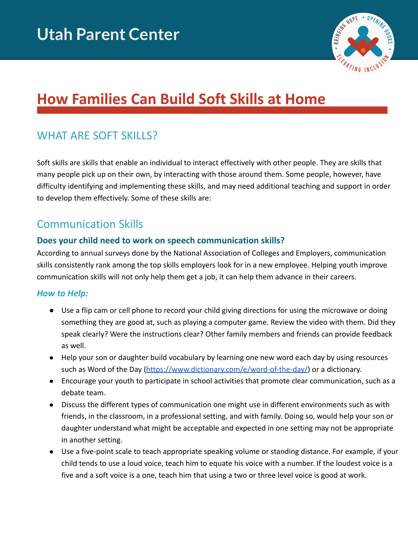

# **How Families Can Build Soft Skills at Home**

# WHAT ARE SOFT SKILLS?

Soft skills are skills that enable an individual to interact effectively with other people. They are skills that many people pick up on their own, by interacting with those around them. Some people, however, have difficulty identifying and implementing these skills, and may need additional teaching and support in order to develop them effectively. Some of these skills are:

## Communication Skills

#### **Does your child need to work on speech communication skills?**

According to annual surveys done by the National Association of Colleges and Employers, communication skills consistently rank among the top skills employers look for in a new employee. Helping youth improve communication skills will not only help them get a job, it can help them advance in their careers.

#### *How to Help:*

- Use a flip cam or cell phone to record your child giving directions for using the microwave or doing something they are good at, such as playing a computer game. Review the video with them. Did they speak clearly? Were the instructions clear? Other family members and friends can provide feedback as well.
- Help your son or daughter build vocabulary by learning one new word each day by using resources such as Word of the Day [\(https://www.dictionary.com/e/word-of-the-day/\)](https://www.dictionary.com/e/word-of-the-day/) or a dictionary.
- Encourage your youth to participate in school activities that promote clear communication, such as a debate team.
- Discuss the different types of communication one might use in different environments such as with friends, in the classroom, in a professional setting, and with family. Doing so, would help your son or daughter understand what might be acceptable and expected in one setting may not be appropriate in another setting.
- Use a five-point scale to teach appropriate speaking volume or standing distance. For example, if your child tends to use a loud voice, teach him to equate his voice with a number. If the loudest voice is a five and a soft voice is a one, teach him that using a two or three level voice is good at work.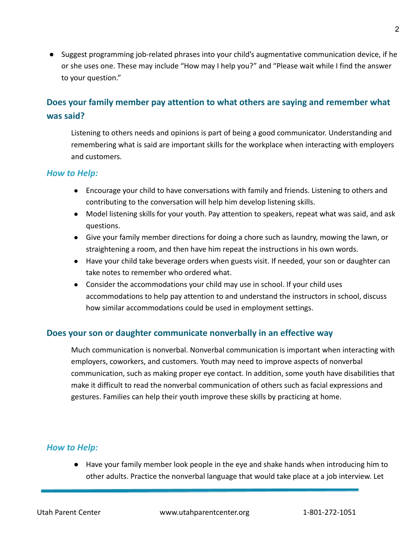● Suggest programming job-related phrases into your child's augmentative communication device, if he or she uses one. These may include "How may I help you?" and "Please wait while I find the answer to your question."

### **Does your family member pay attention to what others are saying and remember what was said?**

Listening to others needs and opinions is part of being a good communicator. Understanding and remembering what is said are important skills for the workplace when interacting with employers and customers*.*

#### *How to Help:*

- Encourage your child to have conversations with family and friends. Listening to others and contributing to the conversation will help him develop listening skills.
- Model listening skills for your youth. Pay attention to speakers, repeat what was said, and ask questions.
- Give your family member directions for doing a chore such as laundry, mowing the lawn, or straightening a room, and then have him repeat the instructions in his own words.
- Have your child take beverage orders when guests visit. If needed, your son or daughter can take notes to remember who ordered what.
- Consider the accommodations your child may use in school. If your child uses accommodations to help pay attention to and understand the instructors in school, discuss how similar accommodations could be used in employment settings.

#### **Does your son or daughter communicate nonverbally in an effective way**

Much communication is nonverbal. Nonverbal communication is important when interacting with employers, coworkers, and customers. Youth may need to improve aspects of nonverbal communication, such as making proper eye contact. In addition, some youth have disabilities that make it difficult to read the nonverbal communication of others such as facial expressions and gestures. Families can help their youth improve these skills by practicing at home.

#### *How to Help:*

● Have your family member look people in the eye and shake hands when introducing him to other adults. Practice the nonverbal language that would take place at a job interview. Let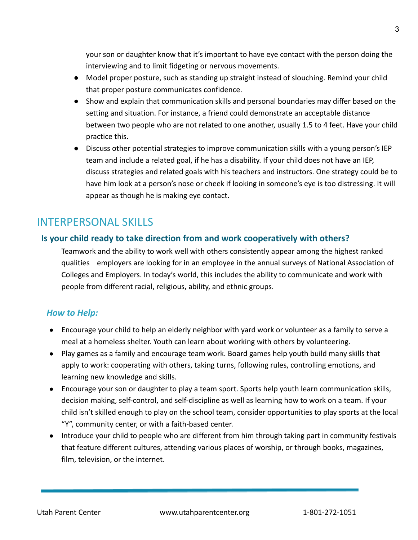your son or daughter know that it's important to have eye contact with the person doing the interviewing and to limit fidgeting or nervous movements.

- Model proper posture, such as standing up straight instead of slouching. Remind your child that proper posture communicates confidence.
- Show and explain that communication skills and personal boundaries may differ based on the setting and situation. For instance, a friend could demonstrate an acceptable distance between two people who are not related to one another, usually 1.5 to 4 feet. Have your child practice this.
- Discuss other potential strategies to improve communication skills with a young person's IEP team and include a related goal, if he has a disability. If your child does not have an IEP, discuss strategies and related goals with his teachers and instructors. One strategy could be to have him look at a person's nose or cheek if looking in someone's eye is too distressing. It will appear as though he is making eye contact.

### INTERPERSONAL SKILLS

#### **Is your child ready to take direction from and work cooperatively with others?**

Teamwork and the ability to work well with others consistently appear among the highest ranked qualities employers are looking for in an employee in the annual surveys of National Association of Colleges and Employers. In today's world, this includes the ability to communicate and work with people from different racial, religious, ability, and ethnic groups.

#### *How to Help:*

- Encourage your child to help an elderly neighbor with yard work or volunteer as a family to serve a meal at a homeless shelter. Youth can learn about working with others by volunteering.
- Play games as a family and encourage team work. Board games help youth build many skills that apply to work: cooperating with others, taking turns, following rules, controlling emotions, and learning new knowledge and skills.
- Encourage your son or daughter to play a team sport. Sports help youth learn communication skills, decision making, self-control, and self-discipline as well as learning how to work on a team. If your child isn't skilled enough to play on the school team, consider opportunities to play sports at the local "Y", community center, or with a faith-based center.
- Introduce your child to people who are different from him through taking part in community festivals that feature different cultures, attending various places of worship, or through books, magazines, film, television, or the internet.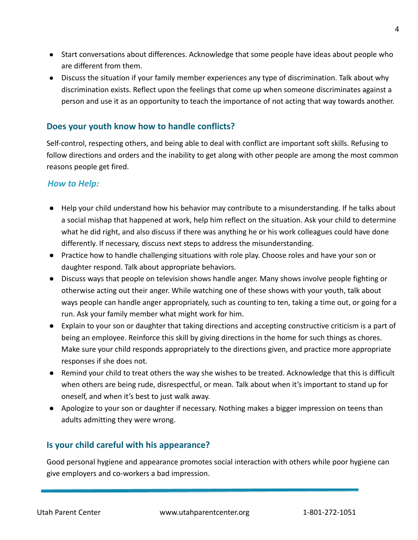- Start conversations about differences. Acknowledge that some people have ideas about people who are different from them.
- Discuss the situation if your family member experiences any type of discrimination. Talk about why discrimination exists. Reflect upon the feelings that come up when someone discriminates against a person and use it as an opportunity to teach the importance of not acting that way towards another.

#### **Does your youth know how to handle conflicts?**

Self-control, respecting others, and being able to deal with conflict are important soft skills. Refusing to follow directions and orders and the inability to get along with other people are among the most common reasons people get fired.

#### *How to Help:*

- Help your child understand how his behavior may contribute to a misunderstanding. If he talks about a social mishap that happened at work, help him reflect on the situation. Ask your child to determine what he did right, and also discuss if there was anything he or his work colleagues could have done differently. If necessary, discuss next steps to address the misunderstanding.
- Practice how to handle challenging situations with role play. Choose roles and have your son or daughter respond. Talk about appropriate behaviors.
- Discuss ways that people on television shows handle anger. Many shows involve people fighting or otherwise acting out their anger. While watching one of these shows with your youth, talk about ways people can handle anger appropriately, such as counting to ten, taking a time out, or going for a run. Ask your family member what might work for him.
- Explain to your son or daughter that taking directions and accepting constructive criticism is a part of being an employee. Reinforce this skill by giving directions in the home for such things as chores. Make sure your child responds appropriately to the directions given, and practice more appropriate responses if she does not.
- Remind your child to treat others the way she wishes to be treated. Acknowledge that this is difficult when others are being rude, disrespectful, or mean. Talk about when it's important to stand up for oneself, and when it's best to just walk away.
- Apologize to your son or daughter if necessary. Nothing makes a bigger impression on teens than adults admitting they were wrong.

#### **Is your child careful with his appearance?**

Good personal hygiene and appearance promotes social interaction with others while poor hygiene can give employers and co-workers a bad impression.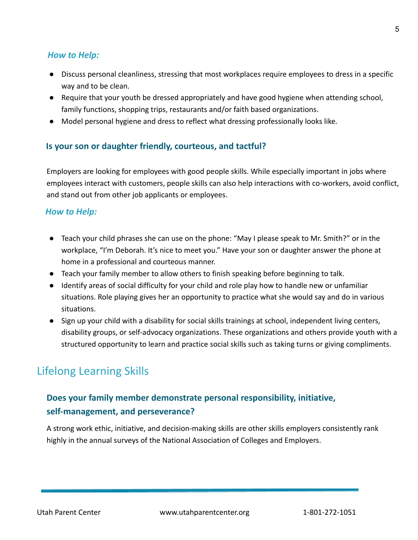#### *How to Help:*

- Discuss personal cleanliness, stressing that most workplaces require employees to dress in a specific way and to be clean.
- Require that your youth be dressed appropriately and have good hygiene when attending school, family functions, shopping trips, restaurants and/or faith based organizations.
- Model personal hygiene and dress to reflect what dressing professionally looks like.

#### **Is your son or daughter friendly, courteous, and tactful?**

Employers are looking for employees with good people skills. While especially important in jobs where employees interact with customers, people skills can also help interactions with co-workers, avoid conflict, and stand out from other job applicants or employees.

#### *How to Help:*

- Teach your child phrases she can use on the phone: "May I please speak to Mr. Smith?" or in the workplace, "I'm Deborah. It's nice to meet you." Have your son or daughter answer the phone at home in a professional and courteous manner.
- Teach your family member to allow others to finish speaking before beginning to talk.
- Identify areas of social difficulty for your child and role play how to handle new or unfamiliar situations. Role playing gives her an opportunity to practice what she would say and do in various situations.
- Sign up your child with a disability for social skills trainings at school, independent living centers, disability groups, or self-advocacy organizations. These organizations and others provide youth with a structured opportunity to learn and practice social skills such as taking turns or giving compliments.

# Lifelong Learning Skills

### **Does your family member demonstrate personal responsibility, initiative, self-management, and perseverance?**

A strong work ethic, initiative, and decision-making skills are other skills employers consistently rank highly in the annual surveys of the National Association of Colleges and Employers.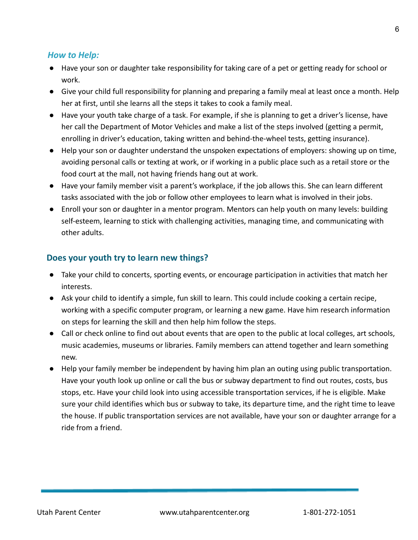#### *How to Help:*

- Have your son or daughter take responsibility for taking care of a pet or getting ready for school or work.
- Give your child full responsibility for planning and preparing a family meal at least once a month. Help her at first, until she learns all the steps it takes to cook a family meal.
- Have your youth take charge of a task. For example, if she is planning to get a driver's license, have her call the Department of Motor Vehicles and make a list of the steps involved (getting a permit, enrolling in driver's education, taking written and behind-the-wheel tests, getting insurance).
- Help your son or daughter understand the unspoken expectations of employers: showing up on time, avoiding personal calls or texting at work, or if working in a public place such as a retail store or the food court at the mall, not having friends hang out at work.
- Have your family member visit a parent's workplace, if the job allows this. She can learn different tasks associated with the job or follow other employees to learn what is involved in their jobs.
- Enroll your son or daughter in a mentor program. Mentors can help youth on many levels: building self-esteem, learning to stick with challenging activities, managing time, and communicating with other adults.

#### **Does your youth try to learn new things?**

- Take your child to concerts, sporting events, or encourage participation in activities that match her interests.
- Ask your child to identify a simple, fun skill to learn. This could include cooking a certain recipe, working with a specific computer program, or learning a new game. Have him research information on steps for learning the skill and then help him follow the steps.
- Call or check online to find out about events that are open to the public at local colleges, art schools, music academies, museums or libraries. Family members can attend together and learn something new.
- Help your family member be independent by having him plan an outing using public transportation. Have your youth look up online or call the bus or subway department to find out routes, costs, bus stops, etc. Have your child look into using accessible transportation services, if he is eligible. Make sure your child identifies which bus or subway to take, its departure time, and the right time to leave the house. If public transportation services are not available, have your son or daughter arrange for a ride from a friend.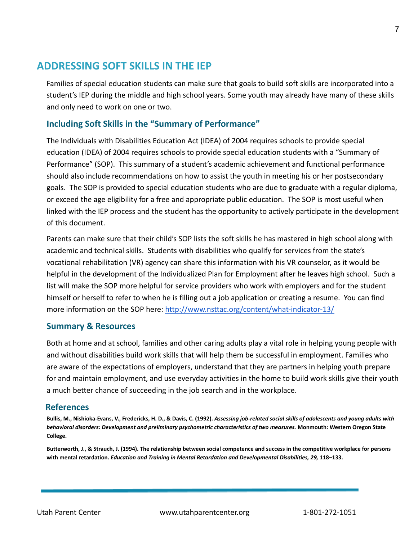### **ADDRESSING SOFT SKILLS IN THE IEP**

Families of special education students can make sure that goals to build soft skills are incorporated into a student's IEP during the middle and high school years. Some youth may already have many of these skills and only need to work on one or two.

#### **Including Soft Skills in the "Summary of Performance"**

The Individuals with Disabilities Education Act (IDEA) of 2004 requires schools to provide special education (IDEA) of 2004 requires schools to provide special education students with a "Summary of Performance" (SOP). This summary of a student's academic achievement and functional performance should also include recommendations on how to assist the youth in meeting his or her postsecondary goals. The SOP is provided to special education students who are due to graduate with a regular diploma, or exceed the age eligibility for a free and appropriate public education. The SOP is most useful when linked with the IEP process and the student has the opportunity to actively participate in the development of this document.

Parents can make sure that their child's SOP lists the soft skills he has mastered in high school along with academic and technical skills. Students with disabilities who qualify for services from the state's vocational rehabilitation (VR) agency can share this information with his VR counselor, as it would be helpful in the development of the Individualized Plan for Employment after he leaves high school. Such a list will make the SOP more helpful for service providers who work with employers and for the student himself or herself to refer to when he is filling out a job application or creating a resume. You can find more information on the SOP here: <http://www.nsttac.org/content/what-indicator-13/>

#### **Summary & Resources**

Both at home and at school, families and other caring adults play a vital role in helping young people with and without disabilities build work skills that will help them be successful in employment. Families who are aware of the expectations of employers, understand that they are partners in helping youth prepare for and maintain employment, and use everyday activities in the home to build work skills give their youth a much better chance of succeeding in the job search and in the workplace.

#### **References**

**Bullis, M., Nishioka-Evans, V., Fredericks, H. D., & Davis, C. (1992).** *Assessing job-related social skills of adolescents and young adults with behavioral disorders: Development and preliminary psychometric characteristics of two measures.* **Monmouth: Western Oregon State College.**

**Butterworth, J., & Strauch, J. (1994). The relationship between social competence and success in the competitive workplace for persons with mental retardation.** *Education and Training in Mental Retardation and Developmental Disabilities, 29,* **118–133.**